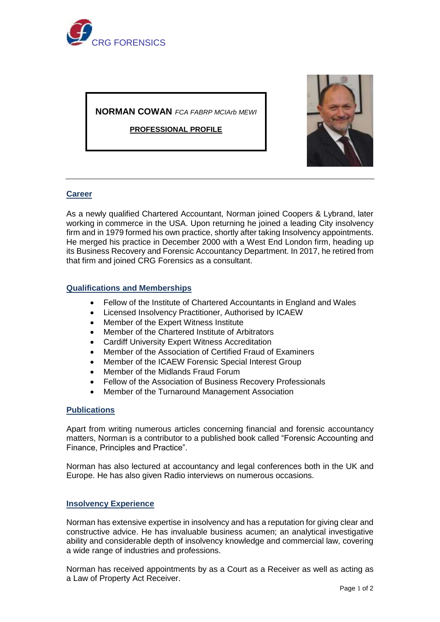

**NORMAN COWAN** *FCA FABRP MCIArb MEWI*

**PROFESSIONAL PROFILE**



# **Career**

As a newly qualified Chartered Accountant, Norman joined Coopers & Lybrand, later working in commerce in the USA. Upon returning he joined a leading City insolvency firm and in 1979 formed his own practice, shortly after taking Insolvency appointments. He merged his practice in December 2000 with a West End London firm, heading up its Business Recovery and Forensic Accountancy Department. In 2017, he retired from that firm and joined CRG Forensics as a consultant.

# **Qualifications and Memberships**

- Fellow of the Institute of Chartered Accountants in England and Wales
- Licensed Insolvency Practitioner, Authorised by ICAEW
- Member of the Expert Witness Institute
- Member of the Chartered Institute of Arbitrators
- Cardiff University Expert Witness Accreditation
- Member of the Association of Certified Fraud of Examiners
- Member of the ICAEW Forensic Special Interest Group
- Member of the Midlands Fraud Forum
- Fellow of the Association of Business Recovery Professionals
- Member of the Turnaround Management Association

# **Publications**

Apart from writing numerous articles concerning financial and forensic accountancy matters, Norman is a contributor to a published book called "Forensic Accounting and Finance, Principles and Practice".

Norman has also lectured at accountancy and legal conferences both in the UK and Europe. He has also given Radio interviews on numerous occasions.

# **Insolvency Experience**

Norman has extensive expertise in insolvency and has a reputation for giving clear and constructive advice. He has invaluable business acumen; an analytical investigative ability and considerable depth of insolvency knowledge and commercial law, covering a wide range of industries and professions.

Norman has received appointments by as a Court as a Receiver as well as acting as a Law of Property Act Receiver.